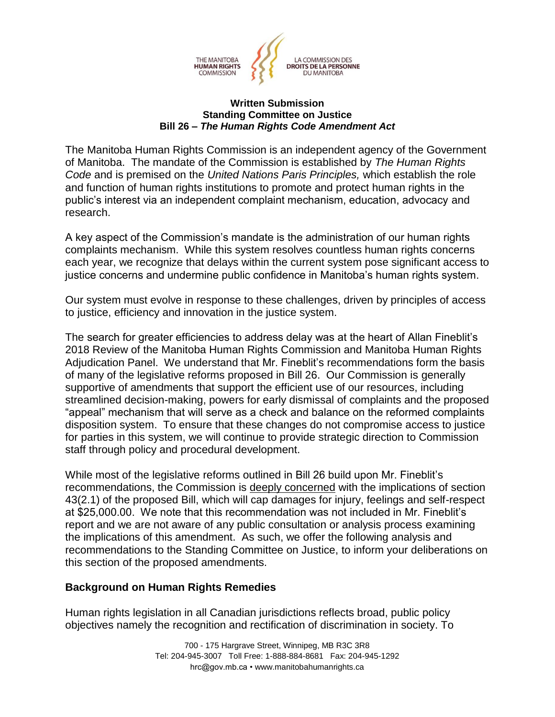

## **Written Submission Standing Committee on Justice Bill 26 –** *The Human Rights Code Amendment Act*

The Manitoba Human Rights Commission is an independent agency of the Government of Manitoba. The mandate of the Commission is established by *The Human Rights Code* and is premised on the *United Nations Paris Principles,* which establish the role and function of human rights institutions to promote and protect human rights in the public's interest via an independent complaint mechanism, education, advocacy and research.

A key aspect of the Commission's mandate is the administration of our human rights complaints mechanism. While this system resolves countless human rights concerns each year, we recognize that delays within the current system pose significant access to justice concerns and undermine public confidence in Manitoba's human rights system.

Our system must evolve in response to these challenges, driven by principles of access to justice, efficiency and innovation in the justice system.

The search for greater efficiencies to address delay was at the heart of Allan Fineblit's 2018 Review of the Manitoba Human Rights Commission and Manitoba Human Rights Adjudication Panel. We understand that Mr. Fineblit's recommendations form the basis of many of the legislative reforms proposed in Bill 26. Our Commission is generally supportive of amendments that support the efficient use of our resources, including streamlined decision-making, powers for early dismissal of complaints and the proposed "appeal" mechanism that will serve as a check and balance on the reformed complaints disposition system. To ensure that these changes do not compromise access to justice for parties in this system, we will continue to provide strategic direction to Commission staff through policy and procedural development.

While most of the legislative reforms outlined in Bill 26 build upon Mr. Fineblit's recommendations, the Commission is deeply concerned with the implications of section 43(2.1) of the proposed Bill, which will cap damages for injury, feelings and self-respect at \$25,000.00. We note that this recommendation was not included in Mr. Fineblit's report and we are not aware of any public consultation or analysis process examining the implications of this amendment. As such, we offer the following analysis and recommendations to the Standing Committee on Justice, to inform your deliberations on this section of the proposed amendments.

## **Background on Human Rights Remedies**

Human rights legislation in all Canadian jurisdictions reflects broad, public policy objectives namely the recognition and rectification of discrimination in society. To

> 700 - 175 Hargrave Street, Winnipeg, MB R3C 3R8 Tel: 204-945-3007 Toll Free: 1-888-884-8681 Fax: 204-945-1292 hrc@gov.mb.ca • www.manitobahumanrights.ca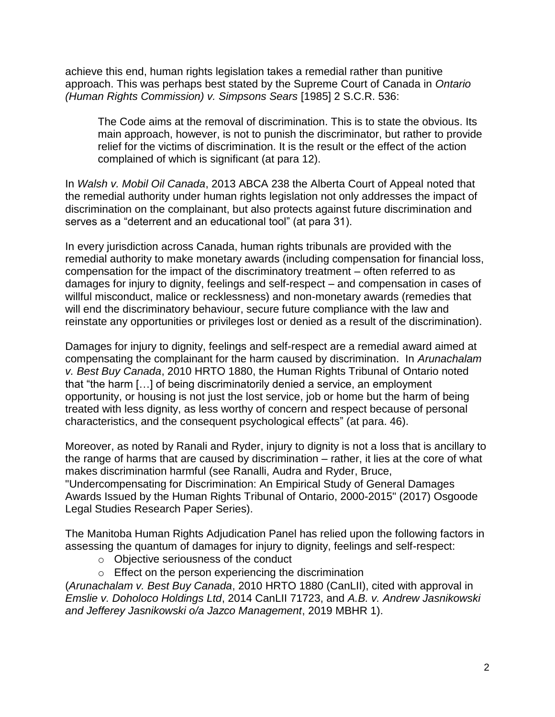achieve this end, human rights legislation takes a remedial rather than punitive approach. This was perhaps best stated by the Supreme Court of Canada in *Ontario (Human Rights Commission) v. Simpsons Sears* [1985] 2 S.C.R. 536:

The Code aims at the removal of discrimination. This is to state the obvious. Its main approach, however, is not to punish the discriminator, but rather to provide relief for the victims of discrimination. It is the result or the effect of the action complained of which is significant (at para 12).

In *Walsh v. Mobil Oil Canada*, 2013 ABCA 238 the Alberta Court of Appeal noted that the remedial authority under human rights legislation not only addresses the impact of discrimination on the complainant, but also protects against future discrimination and serves as a "deterrent and an educational tool" (at para 31).

In every jurisdiction across Canada, human rights tribunals are provided with the remedial authority to make monetary awards (including compensation for financial loss, compensation for the impact of the discriminatory treatment – often referred to as damages for injury to dignity, feelings and self-respect – and compensation in cases of willful misconduct, malice or recklessness) and non-monetary awards (remedies that will end the discriminatory behaviour, secure future compliance with the law and reinstate any opportunities or privileges lost or denied as a result of the discrimination).

Damages for injury to dignity, feelings and self-respect are a remedial award aimed at compensating the complainant for the harm caused by discrimination. In *Arunachalam v. Best Buy Canada*, 2010 HRTO 1880, the Human Rights Tribunal of Ontario noted that "the harm […] of being discriminatorily denied a service, an employment opportunity, or housing is not just the lost service, job or home but the harm of being treated with less dignity, as less worthy of concern and respect because of personal characteristics, and the consequent psychological effects" (at para. 46).

Moreover, as noted by Ranali and Ryder, injury to dignity is not a loss that is ancillary to the range of harms that are caused by discrimination – rather, it lies at the core of what makes discrimination harmful (see Ranalli, Audra and Ryder, Bruce, "Undercompensating for Discrimination: An Empirical Study of General Damages Awards Issued by the Human Rights Tribunal of Ontario, 2000-2015" (2017) Osgoode Legal Studies Research Paper Series).

The Manitoba Human Rights Adjudication Panel has relied upon the following factors in assessing the quantum of damages for injury to dignity, feelings and self-respect:

- o Objective seriousness of the conduct
- o Effect on the person experiencing the discrimination

(*Arunachalam v. Best Buy Canada*, 2010 HRTO 1880 (CanLII), cited with approval in *Emslie v. Doholoco Holdings Ltd*, 2014 CanLII 71723, and *A.B. v. Andrew Jasnikowski and Jefferey Jasnikowski o/a Jazco Management*, 2019 MBHR 1).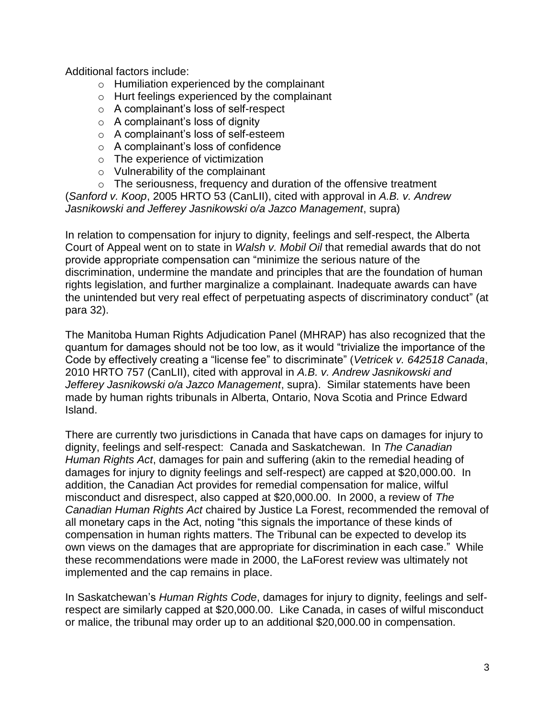Additional factors include:

- o Humiliation experienced by the complainant
- o Hurt feelings experienced by the complainant
- o A complainant's loss of self-respect
- $\circ$  A complainant's loss of dignity
- o A complainant's loss of self-esteem
- o A complainant's loss of confidence
- o The experience of victimization
- o Vulnerability of the complainant
- o The seriousness, frequency and duration of the offensive treatment

(*Sanford v. Koop*, 2005 HRTO 53 (CanLII), cited with approval in *A.B. v. Andrew Jasnikowski and Jefferey Jasnikowski o/a Jazco Management*, supra)

In relation to compensation for injury to dignity, feelings and self-respect, the Alberta Court of Appeal went on to state in *Walsh v. Mobil Oil* that remedial awards that do not provide appropriate compensation can "minimize the serious nature of the discrimination, undermine the mandate and principles that are the foundation of human rights legislation, and further marginalize a complainant. Inadequate awards can have the unintended but very real effect of perpetuating aspects of discriminatory conduct" (at para 32).

The Manitoba Human Rights Adjudication Panel (MHRAP) has also recognized that the quantum for damages should not be too low, as it would "trivialize the importance of the Code by effectively creating a "license fee" to discriminate" (*Vetricek v. 642518 Canada*, 2010 HRTO 757 (CanLII), cited with approval in *A.B. v. Andrew Jasnikowski and Jefferey Jasnikowski o/a Jazco Management*, supra). Similar statements have been made by human rights tribunals in Alberta, Ontario, Nova Scotia and Prince Edward Island.

There are currently two jurisdictions in Canada that have caps on damages for injury to dignity, feelings and self-respect: Canada and Saskatchewan. In *The Canadian Human Rights Act*, damages for pain and suffering (akin to the remedial heading of damages for injury to dignity feelings and self-respect) are capped at \$20,000.00. In addition, the Canadian Act provides for remedial compensation for malice, wilful misconduct and disrespect, also capped at \$20,000.00. In 2000, a review of *The Canadian Human Rights Act* chaired by Justice La Forest, recommended the removal of all monetary caps in the Act, noting "this signals the importance of these kinds of compensation in human rights matters. The Tribunal can be expected to develop its own views on the damages that are appropriate for discrimination in each case." While these recommendations were made in 2000, the LaForest review was ultimately not implemented and the cap remains in place.

In Saskatchewan's *Human Rights Code*, damages for injury to dignity, feelings and selfrespect are similarly capped at \$20,000.00. Like Canada, in cases of wilful misconduct or malice, the tribunal may order up to an additional \$20,000.00 in compensation.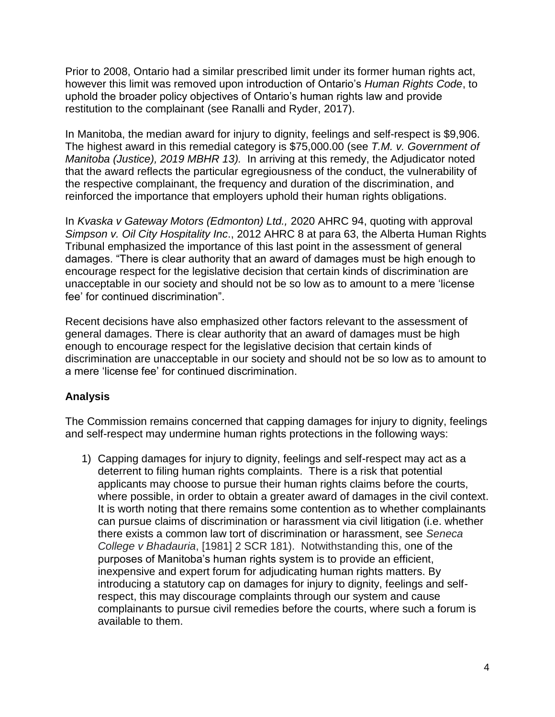Prior to 2008, Ontario had a similar prescribed limit under its former human rights act, however this limit was removed upon introduction of Ontario's *Human Rights Code*, to uphold the broader policy objectives of Ontario's human rights law and provide restitution to the complainant (see Ranalli and Ryder, 2017).

In Manitoba, the median award for injury to dignity, feelings and self-respect is \$9,906. The highest award in this remedial category is \$75,000.00 (see *T.M. v. Government of Manitoba (Justice), 2019 MBHR 13).* In arriving at this remedy, the Adjudicator noted that the award reflects the particular egregiousness of the conduct, the vulnerability of the respective complainant, the frequency and duration of the discrimination, and reinforced the importance that employers uphold their human rights obligations.

In *Kvaska v Gateway Motors (Edmonton) Ltd.,* 2020 AHRC 94, quoting with approval *Simpson v. Oil City Hospitality Inc*., 2012 AHRC 8 at para 63, the Alberta Human Rights Tribunal emphasized the importance of this last point in the assessment of general damages. "There is clear authority that an award of damages must be high enough to encourage respect for the legislative decision that certain kinds of discrimination are unacceptable in our society and should not be so low as to amount to a mere 'license fee' for continued discrimination".

Recent decisions have also emphasized other factors relevant to the assessment of general damages. There is clear authority that an award of damages must be high enough to encourage respect for the legislative decision that certain kinds of discrimination are unacceptable in our society and should not be so low as to amount to a mere 'license fee' for continued discrimination.

## **Analysis**

The Commission remains concerned that capping damages for injury to dignity, feelings and self-respect may undermine human rights protections in the following ways:

1) Capping damages for injury to dignity, feelings and self-respect may act as a deterrent to filing human rights complaints. There is a risk that potential applicants may choose to pursue their human rights claims before the courts, where possible, in order to obtain a greater award of damages in the civil context. It is worth noting that there remains some contention as to whether complainants can pursue claims of discrimination or harassment via civil litigation (i.e. whether there exists a common law tort of discrimination or harassment, see *Seneca College v Bhadauria*, [1981] 2 SCR 181). Notwithstanding this, one of the purposes of Manitoba's human rights system is to provide an efficient, inexpensive and expert forum for adjudicating human rights matters. By introducing a statutory cap on damages for injury to dignity, feelings and selfrespect, this may discourage complaints through our system and cause complainants to pursue civil remedies before the courts, where such a forum is available to them.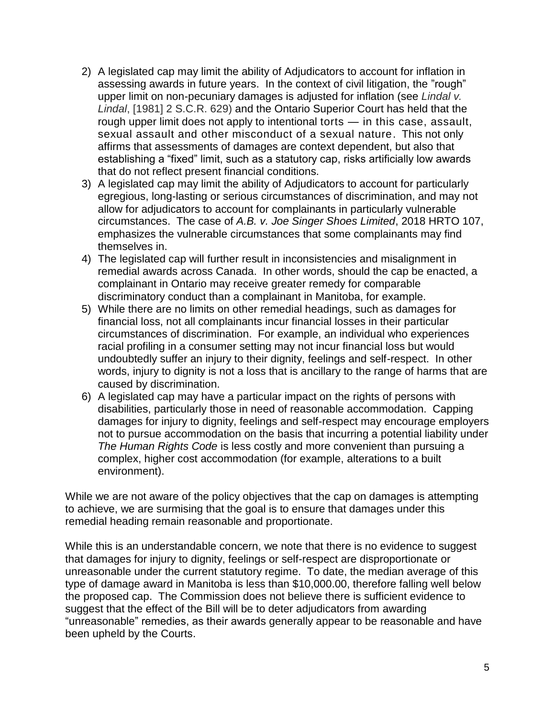- 2) A legislated cap may limit the ability of Adjudicators to account for inflation in assessing awards in future years. In the context of civil litigation, the "rough" upper limit on non-pecuniary damages is adjusted for inflation (see *Lindal v. Lindal*, [1981] 2 S.C.R. 629) and the Ontario Superior Court has held that the rough upper limit does not apply to intentional torts — in this case, assault, sexual assault and other misconduct of a sexual nature. This not only affirms that assessments of damages are context dependent, but also that establishing a "fixed" limit, such as a statutory cap, risks artificially low awards that do not reflect present financial conditions.
- 3) A legislated cap may limit the ability of Adjudicators to account for particularly egregious, long-lasting or serious circumstances of discrimination, and may not allow for adjudicators to account for complainants in particularly vulnerable circumstances. The case of *A.B. v. Joe Singer Shoes Limited*, 2018 HRTO 107, emphasizes the vulnerable circumstances that some complainants may find themselves in.
- 4) The legislated cap will further result in inconsistencies and misalignment in remedial awards across Canada. In other words, should the cap be enacted, a complainant in Ontario may receive greater remedy for comparable discriminatory conduct than a complainant in Manitoba, for example.
- 5) While there are no limits on other remedial headings, such as damages for financial loss, not all complainants incur financial losses in their particular circumstances of discrimination. For example, an individual who experiences racial profiling in a consumer setting may not incur financial loss but would undoubtedly suffer an injury to their dignity, feelings and self-respect. In other words, injury to dignity is not a loss that is ancillary to the range of harms that are caused by discrimination.
- 6) A legislated cap may have a particular impact on the rights of persons with disabilities, particularly those in need of reasonable accommodation. Capping damages for injury to dignity, feelings and self-respect may encourage employers not to pursue accommodation on the basis that incurring a potential liability under *The Human Rights Code* is less costly and more convenient than pursuing a complex, higher cost accommodation (for example, alterations to a built environment).

While we are not aware of the policy objectives that the cap on damages is attempting to achieve, we are surmising that the goal is to ensure that damages under this remedial heading remain reasonable and proportionate.

While this is an understandable concern, we note that there is no evidence to suggest that damages for injury to dignity, feelings or self-respect are disproportionate or unreasonable under the current statutory regime. To date, the median average of this type of damage award in Manitoba is less than \$10,000.00, therefore falling well below the proposed cap. The Commission does not believe there is sufficient evidence to suggest that the effect of the Bill will be to deter adjudicators from awarding "unreasonable" remedies, as their awards generally appear to be reasonable and have been upheld by the Courts.